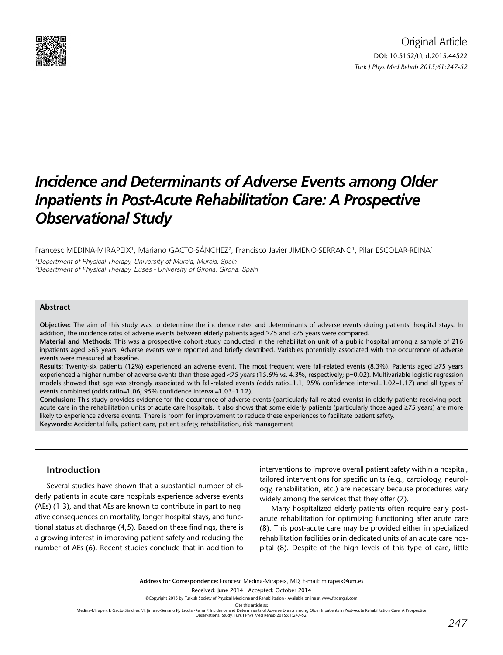

# *Incidence and Determinants of Adverse Events among Older Inpatients in Post-Acute Rehabilitation Care: A Prospective Observational Study*

Francesc MEDINA-MIRAPEIX<sup>1</sup>, Mariano GACTO-SÁNCHEZ<sup>2</sup>, Francisco Javier JIMENO-SERRANO<sup>1</sup>, Pilar ESCOLAR-REINA<sup>1</sup>

1 Department of Physical Therapy, University of Murcia, Murcia, Spain 2 Department of Physical Therapy, Euses - University of Girona, Girona, Spain

## **Abstract**

**Objective:** The aim of this study was to determine the incidence rates and determinants of adverse events during patients' hospital stays. In addition, the incidence rates of adverse events between elderly patients aged ≥75 and <75 years were compared.

**Material and Methods:** This was a prospective cohort study conducted in the rehabilitation unit of a public hospital among a sample of 216 inpatients aged >65 years. Adverse events were reported and briefly described. Variables potentially associated with the occurrence of adverse events were measured at baseline.

**Results:** Twenty-six patients (12%) experienced an adverse event. The most frequent were fall-related events (8.3%). Patients aged ≥75 years experienced a higher number of adverse events than those aged <75 years (15.6% vs. 4.3%, respectively; p=0.02). Multivariable logistic regression models showed that age was strongly associated with fall-related events (odds ratio=1.1; 95% confidence interval=1.02-1.17) and all types of events combined (odds ratio=1.06; 95% confidence interval=1.03–1.12).

**Conclusion:** This study provides evidence for the occurrence of adverse events (particularly fall-related events) in elderly patients receiving postacute care in the rehabilitation units of acute care hospitals. It also shows that some elderly patients (particularly those aged ≥75 years) are more likely to experience adverse events. There is room for improvement to reduce these experiences to facilitate patient safety.

**Keywords:** Accidental falls, patient care, patient safety, rehabilitation, risk management

## **Introduction**

Several studies have shown that a substantial number of elderly patients in acute care hospitals experience adverse events (AEs) (1-3), and that AEs are known to contribute in part to negative consequences on mortality, longer hospital stays, and functional status at discharge (4,5). Based on these findings, there is a growing interest in improving patient safety and reducing the number of AEs (6). Recent studies conclude that in addition to

interventions to improve overall patient safety within a hospital, tailored interventions for specific units (e.g., cardiology, neurology, rehabilitation, etc.) are necessary because procedures vary widely among the services that they offer (7).

Many hospitalized elderly patients often require early postacute rehabilitation for optimizing functioning after acute care (8). This post-acute care may be provided either in specialized rehabilitation facilities or in dedicated units of an acute care hospital (8). Despite of the high levels of this type of care, little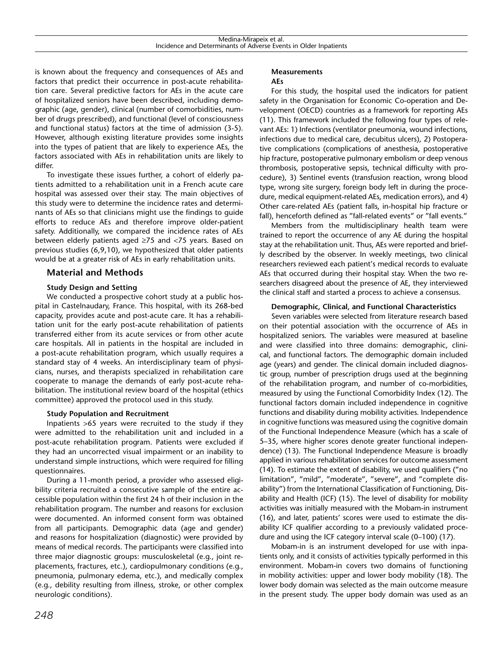is known about the frequency and consequences of AEs and factors that predict their occurrence in post-acute rehabilitation care. Several predictive factors for AEs in the acute care of hospitalized seniors have been described, including demographic (age, gender), clinical (number of comorbidities, number of drugs prescribed), and functional (level of consciousness and functional status) factors at the time of admission (3-5). However, although existing literature provides some insights into the types of patient that are likely to experience AEs, the factors associated with AEs in rehabilitation units are likely to differ.

To investigate these issues further, a cohort of elderly patients admitted to a rehabilitation unit in a French acute care hospital was assessed over their stay. The main objectives of this study were to determine the incidence rates and determinants of AEs so that clinicians might use the findings to guide efforts to reduce AEs and therefore improve older-patient safety. Additionally, we compared the incidence rates of AEs between elderly patients aged ≥75 and <75 years. Based on previous studies (6,9,10), we hypothesized that older patients would be at a greater risk of AEs in early rehabilitation units.

## **Material and Methods**

### **Study Design and Setting**

We conducted a prospective cohort study at a public hospital in Castelnaudary, France. This hospital, with its 268-bed capacity, provides acute and post-acute care. It has a rehabilitation unit for the early post-acute rehabilitation of patients transferred either from its acute services or from other acute care hospitals. All in patients in the hospital are included in a post-acute rehabilitation program, which usually requires a standard stay of 4 weeks. An interdisciplinary team of physicians, nurses, and therapists specialized in rehabilitation care cooperate to manage the demands of early post-acute rehabilitation. The institutional review board of the hospital (ethics committee) approved the protocol used in this study.

### **Study Population and Recruitment**

Inpatients >65 years were recruited to the study if they were admitted to the rehabilitation unit and included in a post-acute rehabilitation program. Patients were excluded if they had an uncorrected visual impairment or an inability to understand simple instructions, which were required for filling questionnaires.

During a 11-month period, a provider who assessed eligibility criteria recruited a consecutive sample of the entire accessible population within the first 24 h of their inclusion in the rehabilitation program. The number and reasons for exclusion were documented. An informed consent form was obtained from all participants. Demographic data (age and gender) and reasons for hospitalization (diagnostic) were provided by means of medical records. The participants were classified into three major diagnostic groups: musculoskeletal (e.g., joint replacements, fractures, etc.), cardiopulmonary conditions (e.g., pneumonia, pulmonary edema, etc.), and medically complex (e.g., debility resulting from illness, stroke, or other complex neurologic conditions).

## **Measurements**

#### **AEs**

For this study, the hospital used the indicators for patient safety in the Organisation for Economic Co-operation and Development (OECD) countries as a framework for reporting AEs (11). This framework included the following four types of relevant AEs: 1) Infections (ventilator pneumonia, wound infections, infections due to medical care, decubitus ulcers), 2) Postoperative complications (complications of anesthesia, postoperative hip fracture, postoperative pulmonary embolism or deep venous thrombosis, postoperative sepsis, technical difficulty with procedure), 3) Sentinel events (transfusion reaction, wrong blood type, wrong site surgery, foreign body left in during the procedure, medical equipment-related AEs, medication errors), and 4) Other care-related AEs (patient falls, in-hospital hip fracture or fall), henceforth defined as "fall-related events" or "fall events."

Members from the multidisciplinary health team were trained to report the occurrence of any AE during the hospital stay at the rehabilitation unit. Thus, AEs were reported and briefly described by the observer. In weekly meetings, two clinical researchers reviewed each patient's medical records to evaluate AEs that occurred during their hospital stay. When the two researchers disagreed about the presence of AE, they interviewed the clinical staff and started a process to achieve a consensus.

#### **Demographic, Clinical, and Functional Characteristics**

Seven variables were selected from literature research based on their potential association with the occurrence of AEs in hospitalized seniors. The variables were measured at baseline and were classified into three domains: demographic, clinical, and functional factors. The demographic domain included age (years) and gender. The clinical domain included diagnostic group, number of prescription drugs used at the beginning of the rehabilitation program, and number of co-morbidities, measured by using the Functional Comorbidity Index (12). The functional factors domain included independence in cognitive functions and disability during mobility activities. Independence in cognitive functions was measured using the cognitive domain of the Functional Independence Measure (which has a scale of 5–35, where higher scores denote greater functional independence) (13). The Functional Independence Measure is broadly applied in various rehabilitation services for outcome assessment (14). To estimate the extent of disability, we used qualifiers ("no limitation", "mild", "moderate", "severe", and "complete disability") from the International Classification of Functioning, Disability and Health (ICF) (15). The level of disability for mobility activities was initially measured with the Mobam-in instrument (16), and later, patients' scores were used to estimate the disability ICF qualifier according to a previously validated procedure and using the ICF category interval scale (0–100) (17).

Mobam-in is an instrument developed for use with inpatients only, and it consists of activities typically performed in this environment. Mobam-in covers two domains of functioning in mobility activities: upper and lower body mobility (18). The lower body domain was selected as the main outcome measure in the present study. The upper body domain was used as an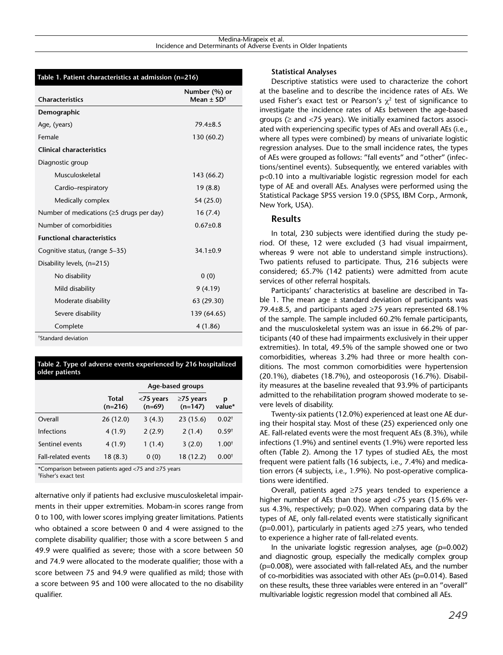#### **Table 1. Patient characteristics at admission (n=216)**

| <b>Characteristics</b>                          | Number (%) or<br>Mean + $SD^{\dagger}$ |
|-------------------------------------------------|----------------------------------------|
| Demographic                                     |                                        |
| Age, (years)                                    | $79.4 \pm 8.5$                         |
| Female                                          | 130 (60.2)                             |
| <b>Clinical characteristics</b>                 |                                        |
| Diagnostic group                                |                                        |
| Musculoskeletal                                 | 143 (66.2)                             |
| Cardio-respiratory                              | 19(8.8)                                |
| Medically complex                               | 54 (25.0)                              |
| Number of medications ( $\geq$ 5 drugs per day) | 16(7.4)                                |
| Number of comorbidities                         | $0.67 + 0.8$                           |
| <b>Functional characteristics</b>               |                                        |
| Cognitive status, (range 5-35)                  | $34.1 \pm 0.9$                         |
| Disability levels, (n=215)                      |                                        |
| No disability                                   | 0(0)                                   |
| Mild disability                                 | 9(4.19)                                |
| Moderate disability                             | 63 (29.30)                             |
| Severe disability                               | 139 (64.65)                            |
| Complete                                        | 4 (1.86)                               |
| <sup>†</sup> Standard deviation                 |                                        |

|                | Table 2. Type of adverse events experienced by 216 hospitalized |
|----------------|-----------------------------------------------------------------|
| older patients |                                                                 |

|                            |                    | Age-based groups      |                              |                  |
|----------------------------|--------------------|-----------------------|------------------------------|------------------|
|                            | Total<br>$(n=216)$ | <75 years<br>$(n=69)$ | $\geq$ 75 years<br>$(n=147)$ | p<br>value*      |
| Overall                    | 26(12.0)           | 3(4.3)                | 23(15.6)                     | $0.02^+$         |
| <b>Infections</b>          | 4(1.9)             | 2(2.9)                | 2(1.4)                       | $0.59^{\dagger}$ |
| Sentinel events            | 4(1.9)             | 1(1.4)                | 3(2.0)                       | $1.00^{+}$       |
| <b>Fall-related events</b> | 18(8.3)            | 0(0)                  | 18 (12.2)                    | $0.00^{+}$       |

\*Comparison between patients aged <75 and ≥75 years

† Fisher's exact test

alternative only if patients had exclusive musculoskeletal impairments in their upper extremities. Mobam-in scores range from 0 to 100, with lower scores implying greater limitations. Patients who obtained a score between 0 and 4 were assigned to the complete disability qualifier; those with a score between 5 and 49.9 were qualified as severe; those with a score between 50 and 74.9 were allocated to the moderate qualifier; those with a score between 75 and 94.9 were qualified as mild; those with a score between 95 and 100 were allocated to the no disability qualifier.

#### **Statistical Analyses**

Descriptive statistics were used to characterize the cohort at the baseline and to describe the incidence rates of AEs. We used Fisher's exact test or Pearson's  $\chi^2$  test of significance to investigate the incidence rates of AEs between the age-based groups ( $\geq$  and <75 years). We initially examined factors associated with experiencing specific types of AEs and overall AEs (i.e., where all types were combined) by means of univariate logistic regression analyses. Due to the small incidence rates, the types of AEs were grouped as follows: "fall events" and "other" (infections/sentinel events). Subsequently, we entered variables with p<0.10 into a multivariable logistic regression model for each type of AE and overall AEs. Analyses were performed using the Statistical Package SPSS version 19.0 (SPSS, IBM Corp., Armonk, New York, USA).

## **Results**

In total, 230 subjects were identified during the study period. Of these, 12 were excluded (3 had visual impairment, whereas 9 were not able to understand simple instructions). Two patients refused to participate. Thus, 216 subjects were considered; 65.7% (142 patients) were admitted from acute services of other referral hospitals.

Participants' characteristics at baseline are described in Table 1. The mean age  $\pm$  standard deviation of participants was 79.4±8.5, and participants aged ≥75 years represented 68.1% of the sample. The sample included 60.2% female participants, and the musculoskeletal system was an issue in 66.2% of participants (40 of these had impairments exclusively in their upper extremities). In total, 49.5% of the sample showed one or two comorbidities, whereas 3.2% had three or more health conditions. The most common comorbidities were hypertension (20.1%), diabetes (18.7%), and osteoporosis (16.7%). Disability measures at the baseline revealed that 93.9% of participants admitted to the rehabilitation program showed moderate to severe levels of disability.

Twenty-six patients (12.0%) experienced at least one AE during their hospital stay. Most of these (25) experienced only one AE. Fall-related events were the most frequent AEs (8.3%), while infections (1.9%) and sentinel events (1.9%) were reported less often (Table 2). Among the 17 types of studied AEs, the most frequent were patient falls (16 subjects, i.e., 7.4%) and medication errors (4 subjects, i.e., 1.9%). No post-operative complications were identified.

Overall, patients aged ≥75 years tended to experience a higher number of AEs than those aged <75 years (15.6% versus 4.3%, respectively; p=0.02). When comparing data by the types of AE, only fall-related events were statistically significant ( $p=0.001$ ), particularly in patients aged  $\geq$ 75 years, who tended to experience a higher rate of fall-related events.

In the univariate logistic regression analyses, age (p=0.002) and diagnostic group, especially the medically complex group (p=0.008), were associated with fall-related AEs, and the number of co-morbidities was associated with other AEs (p=0.014). Based on these results, these three variables were entered in an "overall" multivariable logistic regression model that combined all AEs.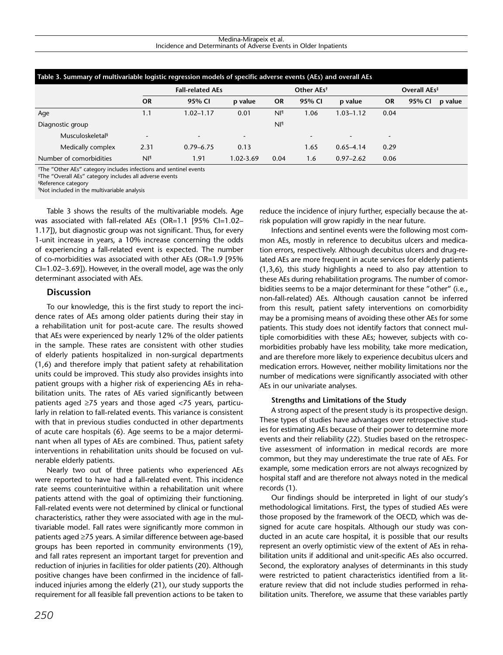#### Medina-Mirapeix et al. Incidence and Determinants of Adverse Events in Older Inpatients

| Table 3. Summary of multivariable logistic regression models of specific adverse events (AEs) and overall AEs |                          |                         |           |                        |                          |                          |                |        |         |
|---------------------------------------------------------------------------------------------------------------|--------------------------|-------------------------|-----------|------------------------|--------------------------|--------------------------|----------------|--------|---------|
|                                                                                                               |                          | <b>Fall-related AEs</b> |           | Other AEs <sup>†</sup> |                          | Overall AEs <sup>‡</sup> |                |        |         |
|                                                                                                               | <b>OR</b>                | 95% CI                  | p value   | <b>OR</b>              | 95% CI                   | p value                  | OR             | 95% CI | p value |
| Age                                                                                                           | 1.1                      | 1.02–1.17               | 0.01      | Nl <sup>q</sup>        | 1.06                     | $1.03 - 1.12$            | 0.04           |        |         |
| Diagnostic group                                                                                              |                          |                         |           | Nl <sup>q</sup>        |                          |                          |                |        |         |
| Musculoskeletal <sup>§</sup>                                                                                  | $\overline{\phantom{a}}$ | ۰.                      | ٠         |                        | $\overline{\phantom{0}}$ | $\overline{\phantom{0}}$ | $\blacksquare$ |        |         |
| Medically complex                                                                                             | 2.31                     | $0.79 - 6.75$           | 0.13      |                        | 1.65                     | $0.65 - 4.14$            | 0.29           |        |         |
| Number of comorbidities                                                                                       | Nl <sup>q</sup>          | 1.91                    | 1.02-3.69 | 0.04                   | 1.6                      | $0.97 - 2.62$            | 0.06           |        |         |

† The "Other AEs" category includes infections and sentinel events

‡ The "Overall AEs" category includes all adverse events

§ Reference category

¶ Not included in the multivariable analysis

Table 3 shows the results of the multivariable models. Age was associated with fall-related AEs (OR=1.1 [95% CI=1.02– 1.17]), but diagnostic group was not significant. Thus, for every 1-unit increase in years, a 10% increase concerning the odds of experiencing a fall-related event is expected. The number of co-morbidities was associated with other AEs (OR=1.9 [95% CI=1.02–3.69]). However, in the overall model, age was the only determinant associated with AEs.

## **Discussion**

To our knowledge, this is the first study to report the incidence rates of AEs among older patients during their stay in a rehabilitation unit for post-acute care. The results showed that AEs were experienced by nearly 12% of the older patients in the sample. These rates are consistent with other studies of elderly patients hospitalized in non-surgical departments (1,6) and therefore imply that patient safety at rehabilitation units could be improved. This study also provides insights into patient groups with a higher risk of experiencing AEs in rehabilitation units. The rates of AEs varied significantly between patients aged ≥75 years and those aged <75 years, particularly in relation to fall-related events. This variance is consistent with that in previous studies conducted in other departments of acute care hospitals (6). Age seems to be a major determinant when all types of AEs are combined. Thus, patient safety interventions in rehabilitation units should be focused on vulnerable elderly patients.

Nearly two out of three patients who experienced AEs were reported to have had a fall-related event. This incidence rate seems counterintuitive within a rehabilitation unit where patients attend with the goal of optimizing their functioning. Fall-related events were not determined by clinical or functional characteristics, rather they were associated with age in the multivariable model. Fall rates were significantly more common in patients aged ≥75 years. A similar difference between age-based groups has been reported in community environments (19), and fall rates represent an important target for prevention and reduction of injuries in facilities for older patients (20). Although positive changes have been confirmed in the incidence of fallinduced injuries among the elderly (21), our study supports the requirement for all feasible fall prevention actions to be taken to

reduce the incidence of injury further, especially because the atrisk population will grow rapidly in the near future.

Infections and sentinel events were the following most common AEs, mostly in reference to decubitus ulcers and medication errors, respectively. Although decubitus ulcers and drug-related AEs are more frequent in acute services for elderly patients (1,3,6), this study highlights a need to also pay attention to these AEs during rehabilitation programs. The number of comorbidities seems to be a major determinant for these "other" (i.e., non-fall-related) AEs. Although causation cannot be inferred from this result, patient safety interventions on comorbidity may be a promising means of avoiding these other AEs for some patients. This study does not identify factors that connect multiple comorbidities with these AEs; however, subjects with comorbidities probably have less mobility, take more medication, and are therefore more likely to experience decubitus ulcers and medication errors. However, neither mobility limitations nor the number of medications were significantly associated with other AEs in our univariate analyses.

### **Strengths and Limitations of the Study**

A strong aspect of the present study is its prospective design. These types of studies have advantages over retrospective studies for estimating AEs because of their power to determine more events and their reliability (22). Studies based on the retrospective assessment of information in medical records are more common, but they may underestimate the true rate of AEs. For example, some medication errors are not always recognized by hospital staff and are therefore not always noted in the medical records (1).

Our findings should be interpreted in light of our study's methodological limitations. First, the types of studied AEs were those proposed by the framework of the OECD, which was designed for acute care hospitals. Although our study was conducted in an acute care hospital, it is possible that our results represent an overly optimistic view of the extent of AEs in rehabilitation units if additional and unit-specific AEs also occurred. Second, the exploratory analyses of determinants in this study were restricted to patient characteristics identified from a literature review that did not include studies performed in rehabilitation units. Therefore, we assume that these variables partly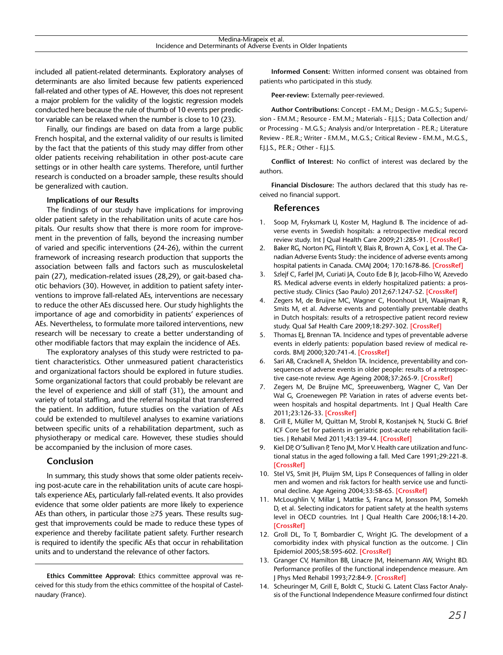included all patient-related determinants. Exploratory analyses of determinants are also limited because few patients experienced fall-related and other types of AE. However, this does not represent a major problem for the validity of the logistic regression models conducted here because the rule of thumb of 10 events per predictor variable can be relaxed when the number is close to 10 (23).

Finally, our findings are based on data from a large public French hospital, and the external validity of our results is limited by the fact that the patients of this study may differ from other older patients receiving rehabilitation in other post-acute care settings or in other health care systems. Therefore, until further research is conducted on a broader sample, these results should be generalized with caution.

#### **Implications of our Results**

The findings of our study have implications for improving older patient safety in the rehabilitation units of acute care hospitals. Our results show that there is more room for improvement in the prevention of falls, beyond the increasing number of varied and specific interventions (24-26), within the current framework of increasing research production that supports the association between falls and factors such as musculoskeletal pain (27), medication-related issues (28,29), or gait-based chaotic behaviors (30). However, in addition to patient safety interventions to improve fall-related AEs, interventions are necessary to reduce the other AEs discussed here. Our study highlights the importance of age and comorbidity in patients' experiences of AEs. Nevertheless, to formulate more tailored interventions, new research will be necessary to create a better understanding of other modifiable factors that may explain the incidence of AEs.

The exploratory analyses of this study were restricted to patient characteristics. Other unmeasured patient characteristics and organizational factors should be explored in future studies. Some organizational factors that could probably be relevant are the level of experience and skill of staff (31), the amount and variety of total staffing, and the referral hospital that transferred the patient. In addition, future studies on the variation of AEs could be extended to multilevel analyses to examine variations between specific units of a rehabilitation department, such as physiotherapy or medical care. However, these studies should be accompanied by the inclusion of more cases.

## **Conclusion**

In summary, this study shows that some older patients receiving post-acute care in the rehabilitation units of acute care hospitals experience AEs, particularly fall-related events. It also provides evidence that some older patients are more likely to experience AEs than others, in particular those ≥75 years. These results suggest that improvements could be made to reduce these types of experience and thereby facilitate patient safety. Further research is required to identify the specific AEs that occur in rehabilitation units and to understand the relevance of other factors.

**Ethics Committee Approval:** Ethics committee approval was received for this study from the ethics committee of the hospital of Castelnaudary (France).

**Informed Consent:** Written informed consent was obtained from patients who participated in this study.

**Peer-review:** Externally peer-reviewed.

**Author Contributions:** Concept - F.M.M.; Design - M.G.S.; Supervision - F.M.M.; Resource - F.M.M.; Materials - F.J.J.S.; Data Collection and/ or Processing - M.G.S.; Analysis and/or Interpretation - P.E.R.; Literature Review - P.E.R.; Writer - F.M.M., M.G.S.; Critical Review - F.M.M., M.G.S., F.J.J.S., P.E.R.; Other - F.J.J.S.

**Conflict of Interest:** No conflict of interest was declared by the authors.

**Financial Disclosure:** The authors declared that this study has received no financial support.

## **References**

- 1. Soop M, Fryksmark U, Koster M, Haglund B. The incidence of adverse events in Swedish hospitals: a retrospective medical record review study. Int J Qual Health Care 2009;21:285-91. **[\[CrossRef](http://dx.doi.org/10.1093/intqhc/mzp025)]**
- 2. Baker RG, Norton PG, Flintoft V, Blais R, Brown A, Cox J, et al. The Canadian Adverse Events Study: the incidence of adverse events among hospital patients in Canada. CMAJ 2004; 170:1678-86. **[[CrossRef\]](http://dx.doi.org/10.1503/cmaj.1040498)**
- 3. Szlejf C, Farfel JM, Curiati JA, Couto Ede B Jr, Jacob-Filho W, Azevedo RS. Medical adverse events in elderly hospitalized patients: a prospective study. Clinics (Sao Paulo) 2012;67:1247-52. **[\[CrossRef](http://dx.doi.org/10.6061/clinics/2012(11)04)]**
- 4. Zegers M, de Bruijne MC, Wagner C, Hoonhout LH, Waaijman R, Smits M, et al. Adverse events and potentially preventable deaths in Dutch hospitals: results of a retrospective patient record review study. Qual Saf Health Care 2009;18:297-302. **[[CrossRef](http://dx.doi.org/10.1136/qshc.2007.025924)]**
- 5. Thomas EJ, Brennan TA. Incidence and types of preventable adverse events in elderly patients: population based review of medical records. BMJ 2000;320:741-4. **[[CrossRef](http://dx.doi.org/10.1136/bmj.320.7237.741)]**
- 6. Sari AB, Cracknell A, Sheldon TA. Incidence, preventability and consequences of adverse events in older people: results of a retrospective case-note review. Age Ageing 2008;37:265-9. **[\[CrossRef](http://dx.doi.org/10.1093/ageing/afn043)]**
- 7. Zegers M, De Bruijne MC, Spreeuwenberg, Wagner C, Van Der Wal G, Groenewegen PP. Variation in rates of adverse events between hospitals and hospital departments. Int J Qual Health Care 2011;23:126-33. **[[CrossRef](http://dx.doi.org/10.1093/intqhc/mzq086)]**
- 8. Grill E, Müller M, Quittan M, Strobl R, Kostanjsek N, Stucki G. Brief ICF Core Set for patients in geriatric post-acute rehabilitation facilities. J Rehabil Med 2011;43:139-44. **[[CrossRef](http://dx.doi.org/10.2340/16501977-0618)]**
- 9. Kiel DP, O'Sullivan P, Teno JM, Mor V. Health care utilization and functional status in the aged following a fall. Med Care 1991;29:221-8. **[\[CrossRef\]](http://dx.doi.org/10.1097/00005650-199103000-00004)**
- 10. Stel VS, Smit JH, Pluijm SM, Lips P. Consequences of falling in older men and women and risk factors for health service use and functional decline. Age Ageing 2004;33:58-65. **[[CrossRef\]](http://dx.doi.org/10.1093/ageing/afh028)**
- 11. McLoughlin V, Millar J, Mattke S, Franca M, Jonsson PM, Somekh D, et al. Selecting indicators for patient safety at the health systems level in OECD countries. Int J Qual Health Care 2006;18:14-20. **[\[CrossRef\]](http://dx.doi.org/10.1093/intqhc/mzl030)**
- 12. Groll DL, To T, Bombardier C, Wright JG. The development of a comorbidity index with physical function as the outcome. J Clin Epidemiol 2005;58:595-602. **[[CrossRef](http://dx.doi.org/10.1016/j.jclinepi.2004.10.018)]**
- 13. Granger CV, Hamilton BB, Linacre JM, Heinemann AW, Wright BD. Performance profiles of the functional independence measure. Am J Phys Med Rehabil 1993;72:84-9. **[[CrossRef](http://dx.doi.org/10.1097/00002060-199304000-00005)]**
- 14. Scheuringer M, Grill E, Boldt C, Stucki G. Latent Class Factor Analysis of the Functional Independence Measure confirmed four distinct